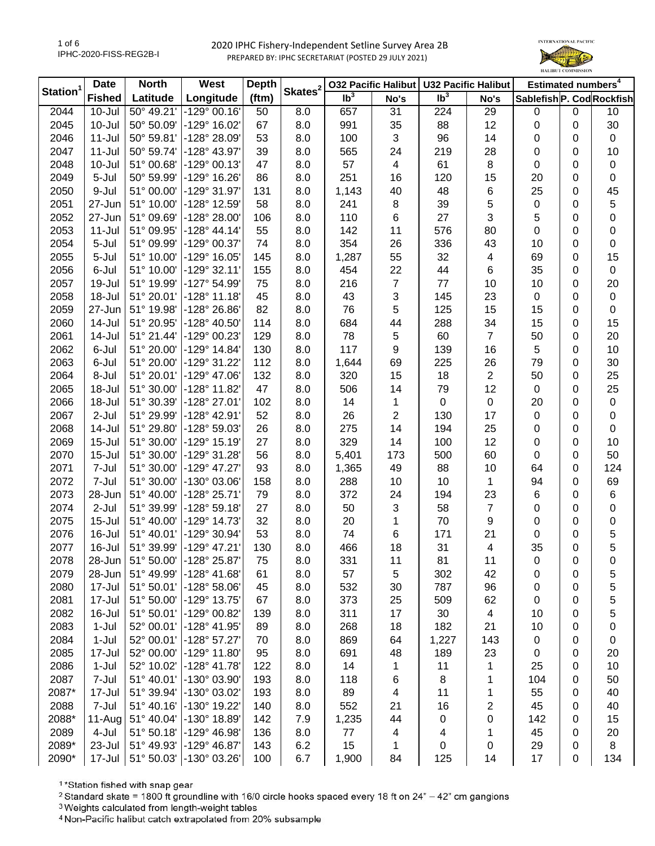

| Station <sup>1</sup> | <b>Date</b>   | <b>North</b><br>West |                         | <b>Depth</b> | Skates <sup>2</sup> | 032 Pacific Halibut        |      | <b>U32 Pacific Halibut</b> |                         | Estimated numbers <sup>4</sup> |   |             |
|----------------------|---------------|----------------------|-------------------------|--------------|---------------------|----------------------------|------|----------------------------|-------------------------|--------------------------------|---|-------------|
|                      | <b>Fished</b> | Latitude             | Longitude               | (ftm)        |                     | $\overline{\mathsf{lb}^3}$ | No's | Ib <sup>3</sup>            | No's                    | Sablefish P. Cod Rockfish      |   |             |
| 2044                 | $10 -$ Jul    | 50° 49.21'           | $-129°00.16'$           | 50           | 8.0                 | 657                        | 31   | 224                        | 29                      | 0                              | 0 | 10          |
| 2045                 | $10 -$ Jul    | 50° 50.09'           | -129° 16.02'            | 67           | 8.0                 | 991                        | 35   | 88                         | 12                      | 0                              | 0 | 30          |
| 2046                 | $11 -$ Jul    | 50° 59.81'           | -128° 28.09'            | 53           | 8.0                 | 100                        | 3    | 96                         | 14                      | 0                              | 0 | $\mathbf 0$ |
| 2047                 | $11 -$ Jul    | 50° 59.74'           | -128° 43.97'            | 39           | 8.0                 | 565                        | 24   | 219                        | 28                      | 0                              | 0 | 10          |
| 2048                 | $10 -$ Jul    | 51° 00.68'           | $-129°00.13'$           | 47           | 8.0                 | 57                         | 4    | 61                         | 8                       | 0                              | 0 | 0           |
| 2049                 | 5-Jul         | 50° 59.99'           | -129° 16.26'            | 86           | 8.0                 | 251                        | 16   | 120                        | 15                      | 20                             | 0 | 0           |
| 2050                 | 9-Jul         | 51° 00.00'           | $-129°31.97'$           | 131          | 8.0                 | 1,143                      | 40   | 48                         | 6                       | 25                             | 0 | 45          |
| 2051                 | 27-Jun        | 51° 10.00'           | -128° 12.59'            | 58           | 8.0                 | 241                        | 8    | 39                         | 5                       | 0                              | 0 | 5           |
| 2052                 | 27-Jun        | 51° 09.69'           | $-128°28.00$            | 106          | 8.0                 | 110                        | 6    | 27                         | 3                       | 5                              | 0 | 0           |
| 2053                 | $11 -$ Jul    | 51° 09.95'           | $-128° 44.14'$          | 55           | 8.0                 | 142                        | 11   | 576                        | 80                      | 0                              | 0 | 0           |
| 2054                 | 5-Jul         | 51° 09.99'           | -129° 00.37'            | 74           | 8.0                 | 354                        | 26   | 336                        | 43                      | 10                             | 0 | 0           |
| 2055                 | 5-Jul         | 51° 10.00'           | $-129°$ 16.05           | 145          | 8.0                 | 1,287                      | 55   | 32                         | $\overline{\mathbf{4}}$ | 69                             | 0 | 15          |
| 2056                 | 6-Jul         | 51° 10.00'           | $-129°32.11'$           | 155          | 8.0                 | 454                        | 22   | 44                         | 6                       | 35                             | 0 | 0           |
| 2057                 | 19-Jul        | 51° 19.99'           | -127° 54.99             | 75           | 8.0                 | 216                        | 7    | 77                         | 10                      | 10                             | 0 | 20          |
| 2058                 | 18-Jul        | 51° 20.01'           | $-128°11.18'$           | 45           | 8.0                 | 43                         | 3    | 145                        | 23                      | 0                              | 0 | $\pmb{0}$   |
| 2059                 | 27-Jun        | 51° 19.98'           | -128° 26.86'            | 82           | 8.0                 | 76                         | 5    | 125                        | 15                      | 15                             | 0 | 0           |
| 2060                 | $14 -$ Jul    | 51° 20.95'           | -128° 40.50'            | 114          | 8.0                 | 684                        | 44   | 288                        | 34                      | 15                             | 0 | 15          |
| 2061                 | $14 -$ Jul    | 51° 21.44'           | $-129^{\circ}$ 00.23    | 129          | 8.0                 | 78                         | 5    | 60                         | $\overline{7}$          | 50                             | 0 | 20          |
| 2062                 | 6-Jul         | 51° 20.00'           | $-129°$ 14.84           | 130          | 8.0                 | 117                        | 9    | 139                        | 16                      | 5                              | 0 | 10          |
| 2063                 | 6-Jul         | 51° 20.00'           | -129° 31.22'            | 112          | 8.0                 | 1,644                      | 69   | 225                        | 26                      | 79                             | 0 | 30          |
| 2064                 | 8-Jul         | 51° 20.01'           | $-129^{\circ}$ 47.06    | 132          | 8.0                 | 320                        | 15   | 18                         | $\overline{c}$          | 50                             | 0 | 25          |
| 2065                 | 18-Jul        | 51° 30.00'           | $-128°$ 11.82           | 47           | 8.0                 | 506                        | 14   | 79                         | 12                      | 0                              | 0 | 25          |
| 2066                 | 18-Jul        | 51° 30.39'           | -128° 27.01'            | 102          | 8.0                 | 14                         | 1    | $\pmb{0}$                  | $\pmb{0}$               | 20                             | 0 | $\pmb{0}$   |
| 2067                 | 2-Jul         | 51° 29.99'           | $-128°$ 42.91'          | 52           | 8.0                 | 26                         | 2    | 130                        | 17                      | 0                              | 0 | 0           |
| 2068                 | 14-Jul        | 51° 29.80'           | -128° 59.03'            | 26           | 8.0                 | 275                        | 14   | 194                        | 25                      | 0                              | 0 | 0           |
| 2069                 | $15 -$ Jul    | 51° 30.00'           | $-129°$ 15.19           | 27           | 8.0                 | 329                        | 14   | 100                        | 12                      | 0                              | 0 | 10          |
| 2070                 | $15 -$ Jul    | 51° 30.00'           | -129° 31.28'            | 56           | 8.0                 | 5,401                      | 173  | 500                        | 60                      | 0                              | 0 | 50          |
| 2071                 | 7-Jul         | 51° 30.00'           | $-129^{\circ}$ 47.27    | 93           | 8.0                 | 1,365                      | 49   | 88                         | 10                      | 64                             | 0 | 124         |
| 2072                 | 7-Jul         | 51° 30.00'           | -130° 03.06'            | 158          | 8.0                 | 288                        | 10   | 10                         | 1                       | 94                             | 0 | 69          |
| 2073                 | 28-Jun        | 51° 40.00'           | $-128° 25.71'$          | 79           | 8.0                 | 372                        | 24   | 194                        | 23                      | 6                              | 0 | 6           |
| 2074                 | 2-Jul         | 51° 39.99'           | $-128°59.18'$           | 27           | 8.0                 | 50                         | 3    | 58                         | $\overline{7}$          | 0                              | 0 | 0           |
| 2075                 | $15 -$ Jul    | 51° 40.00'           | $-129°$ 14.73           | 32           | 8.0                 | 20                         | 1    | 70                         | 9                       | 0                              | 0 | 0           |
| 2076                 | 16-Jul        | 51° 40.01'           | $-129°30.94'$           | 53           | 8.0                 | 74                         | 6    | 171                        | 21                      | 0                              | 0 | 5           |
| 2077                 | 16-Jul        | 51° 39.99'           | -129° 47.21             | 130          | 8.0                 | 466                        | 18   | 31                         | 4                       | 35                             | 0 | 5           |
| 2078                 | 28-Jun        |                      | 51° 50.00' -128° 25.87' | 75           | 8.0                 | 331                        | 11   | 81                         | 11                      | 0                              | 0 | 0           |
| 2079                 | 28-Jun        | 51° 49.99'           | $-128^{\circ}$ 41.68    | 61           | 8.0                 | 57                         | 5    | 302                        | 42                      | 0                              | 0 | 5           |
| 2080                 | 17-Jul        | 51° 50.01'           | $-128°58.06'$           | 45           | 8.0                 | 532                        | 30   | 787                        | 96                      | 0                              | 0 | 5           |
| 2081                 | 17-Jul        | 51° 50.00'           | -129° 13.75'            | 67           | 8.0                 | 373                        | 25   | 509                        | 62                      | 0                              | 0 | 5           |
| 2082                 | 16-Jul        | 51° 50.01'           | -129° 00.82'            | 139          | 8.0                 | 311                        | 17   | 30                         | 4                       | 10                             | 0 | 5           |
| 2083                 | $1-Jul$       | 52° 00.01'           | $-128°$ 41.95'          | 89           | 8.0                 | 268                        | 18   | 182                        | 21                      | 10                             | 0 | 0           |
| 2084                 | $1-Jul$       | 52° 00.01'           | $-128°57.27'$           | 70           | 8.0                 | 869                        | 64   | 1,227                      | 143                     | 0                              | 0 | 0           |
| 2085                 | 17-Jul        | 52° 00.00'           | $-129^{\circ}$ 11.80    | 95           | 8.0                 | 691                        | 48   | 189                        | 23                      | 0                              | 0 | 20          |
| 2086                 | $1-Jul$       | 52° 10.02'           | $-128°$ 41.78           | 122          | 8.0                 | 14                         | 1    | 11                         | 1                       | 25                             | 0 | 10          |
| 2087                 | 7-Jul         | 51° 40.01'           | -130° 03.90'            | 193          | 8.0                 | 118                        | 6    | 8                          | 1                       | 104                            | 0 | 50          |
| 2087*                | 17-Jul        | 51° 39.94'           | -130° 03.02'            | 193          | 8.0                 | 89                         | 4    | 11                         | 1                       | 55                             | 0 | 40          |
| 2088                 | 7-Jul         | 51° 40.16'           | -130° 19.22'            | 140          | 8.0                 | 552                        | 21   | 16                         | 2                       | 45                             | 0 | 40          |
| 2088*                | 11-Aug        | 51° 40.04'           | $-130^{\circ}$ 18.89    | 142          | 7.9                 | 1,235                      | 44   | 0                          | 0                       | 142                            | 0 | 15          |
| 2089                 | 4-Jul         | 51° 50.18'           | $-129°$ 46.98           | 136          | 8.0                 | 77                         | 4    | 4                          | 1                       | 45                             | 0 | 20          |
| 2089*                | 23-Jul        | 51° 49.93'           | $-129^{\circ}$ 46.87    | 143          | 6.2                 | 15                         | 1    | 0                          | 0                       | 29                             | 0 | 8           |
| 2090*                | 17-Jul        |                      | 51° 50.03' -130° 03.26' | 100          | 6.7                 | 1,900                      | 84   | 125                        | 14                      | 17                             | 0 | 134         |

<sup>1</sup>\*Station fished with snap gear

<sup>2</sup> Standard skate = 1800 ft groundline with 16/0 circle hooks spaced every 18 ft on 24" - 42" cm gangions

<sup>3</sup> Weights calculated from length-weight tables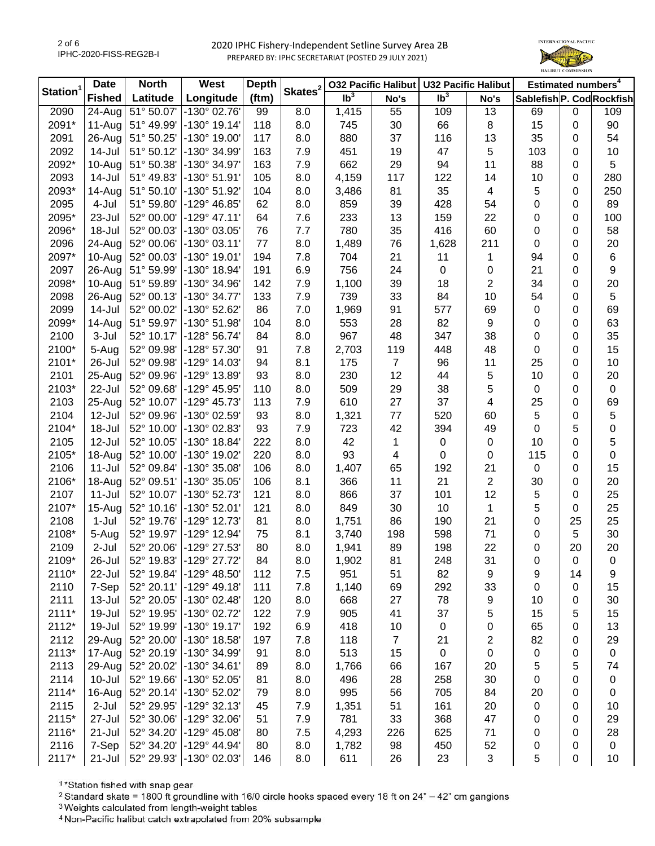

|                      | <b>Date</b>          | <b>North</b> | West                  | <b>Depth</b> | Skates <sup>2</sup> |                            | <b>032 Pacific Halibut</b> |                 | <b>U32 Pacific Halibut</b> |                           | Estimated numbers <sup>4</sup> |                  |  |  |
|----------------------|----------------------|--------------|-----------------------|--------------|---------------------|----------------------------|----------------------------|-----------------|----------------------------|---------------------------|--------------------------------|------------------|--|--|
| Station <sup>1</sup> | <b>Fished</b>        | Latitude     | Longitude             | (ftm)        |                     | $\overline{\mathsf{lb}^3}$ | No's                       | Ib <sup>3</sup> | No's                       | Sablefish P. Cod Rockfish |                                |                  |  |  |
| 2090                 | $\overline{24}$ -Aug | 51° 50.07'   | -130° 02.76'          | 99           | 8.0                 | 1,415                      | 55                         | 109             | 13                         | 69                        | 0                              | 109              |  |  |
| 2091*                | 11-Aug               | 51° 49.99'   | $-130^{\circ}$ 19.14' | 118          | 8.0                 | 745                        | 30                         | 66              | 8                          | 15                        | 0                              | 90               |  |  |
| 2091                 | 26-Aug               | 51° 50.25'   | -130° 19.00'          | 117          | 8.0                 | 880                        | 37                         | 116             | 13                         | 35                        | 0                              | 54               |  |  |
| 2092                 | 14-Jul               | 51° 50.12'   | -130° 34.99'          | 163          | 7.9                 | 451                        | 19                         | 47              | $\sqrt{5}$                 | 103                       | 0                              | 10               |  |  |
| 2092*                | 10-Aug               | 51° 50.38'   | -130° 34.97'          | 163          | 7.9                 | 662                        | 29                         | 94              | 11                         | 88                        | 0                              | 5                |  |  |
| 2093                 | 14-Jul               | 51° 49.83'   | $-130^{\circ} 51.91'$ | 105          | 8.0                 | 4,159                      | 117                        | 122             | 14                         | 10                        | 0                              | 280              |  |  |
| 2093*                | 14-Aug               | 51° 50.10'   | -130° 51.92'          | 104          | 8.0                 | 3,486                      | 81                         | 35              | $\overline{\mathbf{4}}$    | 5                         | 0                              | 250              |  |  |
| 2095                 | 4-Jul                | 51° 59.80'   | -129° 46.85'          | 62           | 8.0                 | 859                        | 39                         | 428             | 54                         | 0                         | 0                              | 89               |  |  |
| 2095*                | 23-Jul               | 52° 00.00'   | $-129°$ 47.11'        | 64           | 7.6                 | 233                        | 13                         | 159             | 22                         | 0                         | 0                              | 100              |  |  |
| 2096*                | 18-Jul               | 52° 00.03'   | -130° 03.05'          | 76           | 7.7                 | 780                        | 35                         | 416             | 60                         | 0                         | 0                              | 58               |  |  |
| 2096                 | 24-Aug               | 52° 00.06'   | $-130^{\circ}$ 03.11' | 77           | 8.0                 | 1,489                      | 76                         | 1,628           | 211                        | 0                         | 0                              | 20               |  |  |
| 2097*                | 10-Aug               | 52° 00.03'   | -130° 19.01'          | 194          | 7.8                 | 704                        | 21                         | 11              | 1                          | 94                        | 0                              | $\,6$            |  |  |
| 2097                 | 26-Aug               | 51° 59.99'   | -130° 18.94'          | 191          | 6.9                 | 756                        | 24                         | $\pmb{0}$       | 0                          | 21                        | 0                              | $\boldsymbol{9}$ |  |  |
| 2098*                | 10-Aug               | 51° 59.89'   | -130° 34.96'          | 142          | 7.9                 | 1,100                      | 39                         | 18              | $\overline{2}$             | 34                        | 0                              | 20               |  |  |
| 2098                 | 26-Aug               | 52° 00.13'   | -130° 34.77'          | 133          | 7.9                 | 739                        | 33                         | 84              | 10                         | 54                        | 0                              | $\,$ 5 $\,$      |  |  |
| 2099                 | 14-Jul               | 52° 00.02'   | -130° 52.62'          | 86           | 7.0                 | 1,969                      | 91                         | 577             | 69                         | 0                         | 0                              | 69               |  |  |
| 2099*                | 14-Aug               | 51° 59.97'   | $-130^{\circ} 51.98'$ | 104          | 8.0                 | 553                        | 28                         | 82              | 9                          | 0                         | 0                              | 63               |  |  |
| 2100                 | 3-Jul                | 52° 10.17'   | -128° 56.74'          | 84           | 8.0                 | 967                        | 48                         | 347             | 38                         | 0                         | 0                              | 35               |  |  |
| 2100*                | 5-Aug                | 52° 09.98'   | -128° 57.30'          | 91           | 7.8                 | 2,703                      | 119                        | 448             | 48                         | 0                         | 0                              | 15               |  |  |
| 2101*                | 26-Jul               | 52° 09.98'   | -129° 14.03'          | 94           | 8.1                 | 175                        | $\overline{7}$             | 96              | 11                         | 25                        | 0                              | 10               |  |  |
| 2101                 | 25-Aug               | 52° 09.96'   | -129° 13.89'          | 93           | 8.0                 | 230                        | 12                         | 44              | 5                          | 10                        | 0                              | 20               |  |  |
| 2103*                | 22-Jul               | 52° 09.68'   | -129° 45.95'          | 110          | 8.0                 | 509                        | 29                         | 38              | 5                          | 0                         | 0                              | $\mathbf 0$      |  |  |
| 2103                 | 25-Aug               | 52° 10.07'   | $-129^{\circ}$ 45.73' | 113          | 7.9                 | 610                        | 27                         | 37              | $\overline{4}$             | 25                        | 0                              | 69               |  |  |
| 2104                 | 12-Jul               | 52° 09.96'   | -130° 02.59'          | 93           | 8.0                 | 1,321                      | 77                         | 520             | 60                         | 5                         | 0                              | 5                |  |  |
| 2104*                | 18-Jul               | 52° 10.00'   | -130° 02.83'          | 93           | 7.9                 | 723                        | 42                         | 394             | 49                         | 0                         | 5                              | 0                |  |  |
| 2105                 | 12-Jul               | 52° 10.05'   | -130° 18.84'          | 222          | 8.0                 | 42                         | 1                          | $\pmb{0}$       | $\pmb{0}$                  | 10                        | 0                              | 5                |  |  |
| 2105*                | 18-Aug               | 52° 10.00'   | -130° 19.02'          | 220          | 8.0                 | 93                         | 4                          | $\mathbf 0$     | $\pmb{0}$                  | 115                       | 0                              | 0                |  |  |
| 2106                 | $11 -$ Jul           | 52° 09.84'   | -130° 35.08'          | 106          | 8.0                 | 1,407                      | 65                         | 192             | 21                         | $\mathbf 0$               | 0                              | 15               |  |  |
| 2106*                | 18-Aug               | 52° 09.51'   | -130° 35.05'          | 106          | 8.1                 | 366                        | 11                         | 21              | $\sqrt{2}$                 | 30                        | 0                              | 20               |  |  |
| 2107                 | $11$ -Jul            | 52° 10.07'   | -130° 52.73'          | 121          | 8.0                 | 866                        | 37                         | 101             | 12                         | 5                         | 0                              | 25               |  |  |
| 2107*                | 15-Aug               | 52° 10.16'   | -130° 52.01'          | 121          | 8.0                 | 849                        | 30                         | 10              | $\mathbf{1}$               | 5                         | 0                              | 25               |  |  |
| 2108                 | 1-Jul                | 52° 19.76'   | -129° 12.73'          | 81           | 8.0                 | 1,751                      | 86                         | 190             | 21                         | 0                         | 25                             | 25               |  |  |
| 2108*                | 5-Aug                | 52° 19.97'   | -129° 12.94'          | 75           | 8.1                 | 3,740                      | 198                        | 598             | 71                         | 0                         | 5                              | 30               |  |  |
| 2109                 | 2-Jul                | 52° 20.06'   | -129° 27.53'          | 80           | 8.0                 | 1,941                      | 89                         | 198             | 22                         | 0                         | 20                             | 20               |  |  |
| 2109*                | 26-Jul               | 52° 19.83'   | -129° 27.72'          | 84           | 8.0                 | 1,902                      | 81                         | 248             | 31                         | 0                         | 0                              | 0                |  |  |
| 2110*                | 22-Jul               | 52° 19.84'   | $-129^{\circ}$ 48.50' | 112          | 7.5                 | 951                        | 51                         | 82              | 9                          | 9                         | 14                             | 9                |  |  |
| 2110                 | 7-Sep                | 52° 20.11'   | $-129°$ 49.18'        | 111          | 7.8                 | 1,140                      | 69                         | 292             | 33                         | 0                         | 0                              | 15               |  |  |
| 2111                 | 13-Jul               | 52° 20.05'   | -130° 02.48'          | 120          | 8.0                 | 668                        | 27                         | 78              | 9                          | 10                        | 0                              | 30               |  |  |
| 2111*                | 19-Jul               | 52° 19.95'   | -130° 02.72'          | 122          | 7.9                 | 905                        | 41                         | 37              | 5                          | 15                        | 5                              | 15               |  |  |
| 2112*                | 19-Jul               | 52° 19.99'   | -130° 19.17'          | 192          | 6.9                 | 418                        | 10                         | $\pmb{0}$       | 0                          | 65                        | 0                              | 13               |  |  |
| 2112                 | 29-Aug               | 52° 20.00'   | -130° 18.58'          | 197          | 7.8                 | 118                        | $\overline{7}$             | 21              | 2                          | 82                        | 0                              | 29               |  |  |
| 2113*                | 17-Aug               | 52° 20.19'   | -130° 34.99'          | 91           | 8.0                 | 513                        | 15                         | 0               | 0                          | 0                         | 0                              | $\pmb{0}$        |  |  |
| 2113                 | 29-Aug               | 52° 20.02'   | -130° 34.61'          | 89           | 8.0                 | 1,766                      | 66                         | 167             | 20                         | 5                         | 5                              | 74               |  |  |
| 2114                 | $10 -$ Jul           | 52° 19.66'   | -130° 52.05'          | 81           | 8.0                 | 496                        | 28                         | 258             | 30                         | 0                         | 0                              | 0                |  |  |
| 2114*                | 16-Aug               | 52° 20.14'   | -130° 52.02'          | 79           | 8.0                 | 995                        | 56                         | 705             | 84                         | 20                        | 0                              | 0                |  |  |
| 2115                 | $2-Jul$              | 52° 29.95'   | -129° 32.13'          | 45           | 7.9                 | 1,351                      | 51                         | 161             | 20                         | 0                         | 0                              | 10               |  |  |
| 2115*                | 27-Jul               | 52° 30.06'   | $-129°32.06'$         | 51           | 7.9                 | 781                        | 33                         | 368             | 47                         | 0                         | 0                              | 29               |  |  |
| 2116*                | 21-Jul               | 52° 34.20'   | -129° 45.08'          | 80           | 7.5                 | 4,293                      | 226                        | 625             | 71                         | 0                         | 0                              | 28               |  |  |
| 2116                 | 7-Sep                | 52° 34.20'   | $-129°$ 44.94'        | 80           | 8.0                 | 1,782                      | 98                         | 450             | 52                         | 0                         | 0                              | 0                |  |  |
| 2117*                | $21 -$ Jul           | 52° 29.93'   | -130° 02.03'          | 146          | 8.0                 | 611                        | 26                         | 23              | 3                          | 5                         | 0                              | 10               |  |  |

<sup>1</sup>\*Station fished with snap gear

<sup>2</sup> Standard skate = 1800 ft groundline with 16/0 circle hooks spaced every 18 ft on 24" - 42" cm gangions

<sup>3</sup> Weights calculated from length-weight tables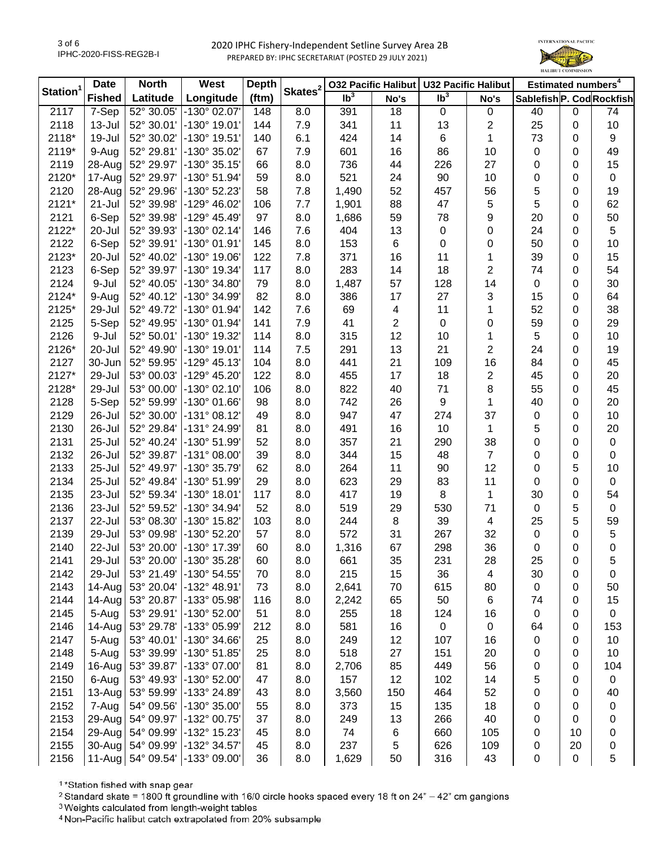

| Skates <sup>2</sup><br>Station <sup>1</sup><br>Ib <sup>3</sup><br>$\overline{\mathsf{lb}^3}$<br>(ftm)<br>Longitude<br>Sablefish P. Cod Rockfish<br><b>Fished</b><br>Latitude<br>No's<br>No's<br>2117<br>7-Sep<br>52° 30.05'<br>-130° 02.07'<br>18<br>74<br>8.0<br>391<br>$\mathbf 0$<br>0<br>40<br>0<br>148<br>2118<br>13-Jul<br>-130° 19.01'<br>11<br>$\overline{c}$<br>25<br>10<br>52° 30.01'<br>144<br>7.9<br>341<br>13<br>0<br>2118*<br>-130° 19.51'<br>6.1<br>424<br>1<br>73<br>19-Jul<br>52° 30.02'<br>140<br>14<br>6<br>9<br>0<br>2119*<br>52° 29.81'<br>-130° 35.02'<br>601<br>86<br>49<br>9-Aug<br>67<br>7.9<br>16<br>10<br>0<br>0<br>52° 29.97'<br>$-130^{\circ}35.15'$<br>27<br>15<br>2119<br>28-Aug<br>66<br>8.0<br>736<br>44<br>226<br>0<br>0<br>2120*<br>52° 29.97'<br>$-130^{\circ} 51.94'$<br>8.0<br>521<br>90<br>10<br>17-Aug<br>59<br>24<br>0<br>$\mathbf 0$<br>0<br>2120<br>28-Aug<br>52° 29.96'<br>-130° 52.23'<br>58<br>7.8<br>1,490<br>52<br>56<br>5<br>19<br>457<br>0<br>5<br>62<br>2121*<br>$21 -$ Jul<br>52° 39.98'<br>$-129^{\circ}$ 46.02<br>88<br>47<br>5<br>106<br>7.7<br>1,901<br>0<br>2121<br>6-Sep<br>$-129°$ 45.49<br>97<br>8.0<br>78<br>9<br>20<br>50<br>52° 39.98'<br>1,686<br>59<br>0<br>5<br>2122*<br>$-130^{\circ}$ 02.14<br>7.6<br>13<br>$\pmb{0}$<br>24<br>20-Jul<br>52° 39.93'<br>146<br>404<br>0<br>0<br>$\pmb{0}$<br>2122<br>6-Sep<br>-130° 01.91'<br>8.0<br>153<br>6<br>0<br>50<br>10<br>52° 39.91'<br>145<br>0<br>2123*<br>52° 40.02'<br>$-130^{\circ}$ 19.06<br>122<br>7.8<br>371<br>16<br>11<br>1<br>39<br>15<br>20-Jul<br>0<br>283<br>2<br>54<br>2123<br>6-Sep<br>52° 39.97'<br>$-130^{\circ}$ 19.34<br>8.0<br>14<br>18<br>74<br>117<br>0<br>2124<br>9-Jul<br>52° 40.05'<br>-130° 34.80'<br>8.0<br>1,487<br>57<br>128<br>14<br>0<br>30<br>79<br>0<br>3<br>2124*<br>52° 40.12'<br>-130° 34.99'<br>82<br>8.0<br>386<br>17<br>27<br>15<br>64<br>9-Aug<br>0<br>52<br>38<br>2125*<br>52° 49.72'<br>-130° 01.94'<br>142<br>7.6<br>69<br>11<br>1<br>29-Jul<br>4<br>0<br>$\overline{2}$<br>2125<br>5-Sep<br>-130° 01.94'<br>7.9<br>41<br>0<br>59<br>29<br>52° 49.95'<br>141<br>0<br>0<br>5<br>2126<br>-130° 19.32'<br>8.0<br>12<br>10<br>9-Jul<br>52° 50.01'<br>114<br>315<br>10<br>1<br>0<br>$\overline{2}$<br>2126*<br>52° 49.90'<br>$-130^{\circ}$ 19.01<br>7.5<br>291<br>13<br>21<br>24<br>19<br>20-Jul<br>114<br>0<br>2127<br>30-Jun<br>52° 59.95'<br>$-129°$ 45.13<br>8.0<br>441<br>21<br>109<br>16<br>84<br>45<br>104<br>0<br>2127*<br>$\overline{c}$<br>53° 00.03'<br>-129° 45.20'<br>17<br>18<br>45<br>20<br>29-Jul<br>122<br>8.0<br>455<br>0<br>2128*<br>$-130^{\circ}$ 02.10<br>822<br>71<br>8<br>55<br>45<br>29-Jul<br>53° 00.00'<br>106<br>8.0<br>40<br>0<br>9<br>2128<br>5-Sep<br>52° 59.99'<br>$-130^{\circ}$ 01.66<br>742<br>20<br>98<br>8.0<br>26<br>1<br>40<br>0<br>2129<br>26-Jul<br>52° 30.00'<br>$-131°08.12'$<br>947<br>47<br>274<br>37<br>10<br>49<br>8.0<br>0<br>0<br>$\mathbf{1}$<br>2130<br>26-Jul<br>52° 29.84'<br>-131° 24.99'<br>491<br>16<br>10<br>5<br>20<br>81<br>8.0<br>0<br>2131<br>25-Jul<br>52° 40.24'<br>-130° 51.99'<br>357<br>21<br>290<br>38<br>0<br>52<br>8.0<br>0<br>0<br>$\overline{7}$<br>2132<br>52° 39.87'<br>$-131^{\circ}$ 08.00<br>8.0<br>344<br>15<br>48<br>0<br>0<br>26-Jul<br>39<br>0 |
|-----------------------------------------------------------------------------------------------------------------------------------------------------------------------------------------------------------------------------------------------------------------------------------------------------------------------------------------------------------------------------------------------------------------------------------------------------------------------------------------------------------------------------------------------------------------------------------------------------------------------------------------------------------------------------------------------------------------------------------------------------------------------------------------------------------------------------------------------------------------------------------------------------------------------------------------------------------------------------------------------------------------------------------------------------------------------------------------------------------------------------------------------------------------------------------------------------------------------------------------------------------------------------------------------------------------------------------------------------------------------------------------------------------------------------------------------------------------------------------------------------------------------------------------------------------------------------------------------------------------------------------------------------------------------------------------------------------------------------------------------------------------------------------------------------------------------------------------------------------------------------------------------------------------------------------------------------------------------------------------------------------------------------------------------------------------------------------------------------------------------------------------------------------------------------------------------------------------------------------------------------------------------------------------------------------------------------------------------------------------------------------------------------------------------------------------------------------------------------------------------------------------------------------------------------------------------------------------------------------------------------------------------------------------------------------------------------------------------------------------------------------------------------------------------------------------------------------------------------------------------------------------------------------------------------------------------------------------------------------------------------------------------------------------------------------------------------------------------------------------------------------------------------------------------------------------------------------------------------------------------------------------------------------|
|                                                                                                                                                                                                                                                                                                                                                                                                                                                                                                                                                                                                                                                                                                                                                                                                                                                                                                                                                                                                                                                                                                                                                                                                                                                                                                                                                                                                                                                                                                                                                                                                                                                                                                                                                                                                                                                                                                                                                                                                                                                                                                                                                                                                                                                                                                                                                                                                                                                                                                                                                                                                                                                                                                                                                                                                                                                                                                                                                                                                                                                                                                                                                                                                                                                                                   |
|                                                                                                                                                                                                                                                                                                                                                                                                                                                                                                                                                                                                                                                                                                                                                                                                                                                                                                                                                                                                                                                                                                                                                                                                                                                                                                                                                                                                                                                                                                                                                                                                                                                                                                                                                                                                                                                                                                                                                                                                                                                                                                                                                                                                                                                                                                                                                                                                                                                                                                                                                                                                                                                                                                                                                                                                                                                                                                                                                                                                                                                                                                                                                                                                                                                                                   |
|                                                                                                                                                                                                                                                                                                                                                                                                                                                                                                                                                                                                                                                                                                                                                                                                                                                                                                                                                                                                                                                                                                                                                                                                                                                                                                                                                                                                                                                                                                                                                                                                                                                                                                                                                                                                                                                                                                                                                                                                                                                                                                                                                                                                                                                                                                                                                                                                                                                                                                                                                                                                                                                                                                                                                                                                                                                                                                                                                                                                                                                                                                                                                                                                                                                                                   |
|                                                                                                                                                                                                                                                                                                                                                                                                                                                                                                                                                                                                                                                                                                                                                                                                                                                                                                                                                                                                                                                                                                                                                                                                                                                                                                                                                                                                                                                                                                                                                                                                                                                                                                                                                                                                                                                                                                                                                                                                                                                                                                                                                                                                                                                                                                                                                                                                                                                                                                                                                                                                                                                                                                                                                                                                                                                                                                                                                                                                                                                                                                                                                                                                                                                                                   |
|                                                                                                                                                                                                                                                                                                                                                                                                                                                                                                                                                                                                                                                                                                                                                                                                                                                                                                                                                                                                                                                                                                                                                                                                                                                                                                                                                                                                                                                                                                                                                                                                                                                                                                                                                                                                                                                                                                                                                                                                                                                                                                                                                                                                                                                                                                                                                                                                                                                                                                                                                                                                                                                                                                                                                                                                                                                                                                                                                                                                                                                                                                                                                                                                                                                                                   |
|                                                                                                                                                                                                                                                                                                                                                                                                                                                                                                                                                                                                                                                                                                                                                                                                                                                                                                                                                                                                                                                                                                                                                                                                                                                                                                                                                                                                                                                                                                                                                                                                                                                                                                                                                                                                                                                                                                                                                                                                                                                                                                                                                                                                                                                                                                                                                                                                                                                                                                                                                                                                                                                                                                                                                                                                                                                                                                                                                                                                                                                                                                                                                                                                                                                                                   |
|                                                                                                                                                                                                                                                                                                                                                                                                                                                                                                                                                                                                                                                                                                                                                                                                                                                                                                                                                                                                                                                                                                                                                                                                                                                                                                                                                                                                                                                                                                                                                                                                                                                                                                                                                                                                                                                                                                                                                                                                                                                                                                                                                                                                                                                                                                                                                                                                                                                                                                                                                                                                                                                                                                                                                                                                                                                                                                                                                                                                                                                                                                                                                                                                                                                                                   |
|                                                                                                                                                                                                                                                                                                                                                                                                                                                                                                                                                                                                                                                                                                                                                                                                                                                                                                                                                                                                                                                                                                                                                                                                                                                                                                                                                                                                                                                                                                                                                                                                                                                                                                                                                                                                                                                                                                                                                                                                                                                                                                                                                                                                                                                                                                                                                                                                                                                                                                                                                                                                                                                                                                                                                                                                                                                                                                                                                                                                                                                                                                                                                                                                                                                                                   |
|                                                                                                                                                                                                                                                                                                                                                                                                                                                                                                                                                                                                                                                                                                                                                                                                                                                                                                                                                                                                                                                                                                                                                                                                                                                                                                                                                                                                                                                                                                                                                                                                                                                                                                                                                                                                                                                                                                                                                                                                                                                                                                                                                                                                                                                                                                                                                                                                                                                                                                                                                                                                                                                                                                                                                                                                                                                                                                                                                                                                                                                                                                                                                                                                                                                                                   |
|                                                                                                                                                                                                                                                                                                                                                                                                                                                                                                                                                                                                                                                                                                                                                                                                                                                                                                                                                                                                                                                                                                                                                                                                                                                                                                                                                                                                                                                                                                                                                                                                                                                                                                                                                                                                                                                                                                                                                                                                                                                                                                                                                                                                                                                                                                                                                                                                                                                                                                                                                                                                                                                                                                                                                                                                                                                                                                                                                                                                                                                                                                                                                                                                                                                                                   |
|                                                                                                                                                                                                                                                                                                                                                                                                                                                                                                                                                                                                                                                                                                                                                                                                                                                                                                                                                                                                                                                                                                                                                                                                                                                                                                                                                                                                                                                                                                                                                                                                                                                                                                                                                                                                                                                                                                                                                                                                                                                                                                                                                                                                                                                                                                                                                                                                                                                                                                                                                                                                                                                                                                                                                                                                                                                                                                                                                                                                                                                                                                                                                                                                                                                                                   |
|                                                                                                                                                                                                                                                                                                                                                                                                                                                                                                                                                                                                                                                                                                                                                                                                                                                                                                                                                                                                                                                                                                                                                                                                                                                                                                                                                                                                                                                                                                                                                                                                                                                                                                                                                                                                                                                                                                                                                                                                                                                                                                                                                                                                                                                                                                                                                                                                                                                                                                                                                                                                                                                                                                                                                                                                                                                                                                                                                                                                                                                                                                                                                                                                                                                                                   |
|                                                                                                                                                                                                                                                                                                                                                                                                                                                                                                                                                                                                                                                                                                                                                                                                                                                                                                                                                                                                                                                                                                                                                                                                                                                                                                                                                                                                                                                                                                                                                                                                                                                                                                                                                                                                                                                                                                                                                                                                                                                                                                                                                                                                                                                                                                                                                                                                                                                                                                                                                                                                                                                                                                                                                                                                                                                                                                                                                                                                                                                                                                                                                                                                                                                                                   |
|                                                                                                                                                                                                                                                                                                                                                                                                                                                                                                                                                                                                                                                                                                                                                                                                                                                                                                                                                                                                                                                                                                                                                                                                                                                                                                                                                                                                                                                                                                                                                                                                                                                                                                                                                                                                                                                                                                                                                                                                                                                                                                                                                                                                                                                                                                                                                                                                                                                                                                                                                                                                                                                                                                                                                                                                                                                                                                                                                                                                                                                                                                                                                                                                                                                                                   |
|                                                                                                                                                                                                                                                                                                                                                                                                                                                                                                                                                                                                                                                                                                                                                                                                                                                                                                                                                                                                                                                                                                                                                                                                                                                                                                                                                                                                                                                                                                                                                                                                                                                                                                                                                                                                                                                                                                                                                                                                                                                                                                                                                                                                                                                                                                                                                                                                                                                                                                                                                                                                                                                                                                                                                                                                                                                                                                                                                                                                                                                                                                                                                                                                                                                                                   |
|                                                                                                                                                                                                                                                                                                                                                                                                                                                                                                                                                                                                                                                                                                                                                                                                                                                                                                                                                                                                                                                                                                                                                                                                                                                                                                                                                                                                                                                                                                                                                                                                                                                                                                                                                                                                                                                                                                                                                                                                                                                                                                                                                                                                                                                                                                                                                                                                                                                                                                                                                                                                                                                                                                                                                                                                                                                                                                                                                                                                                                                                                                                                                                                                                                                                                   |
|                                                                                                                                                                                                                                                                                                                                                                                                                                                                                                                                                                                                                                                                                                                                                                                                                                                                                                                                                                                                                                                                                                                                                                                                                                                                                                                                                                                                                                                                                                                                                                                                                                                                                                                                                                                                                                                                                                                                                                                                                                                                                                                                                                                                                                                                                                                                                                                                                                                                                                                                                                                                                                                                                                                                                                                                                                                                                                                                                                                                                                                                                                                                                                                                                                                                                   |
|                                                                                                                                                                                                                                                                                                                                                                                                                                                                                                                                                                                                                                                                                                                                                                                                                                                                                                                                                                                                                                                                                                                                                                                                                                                                                                                                                                                                                                                                                                                                                                                                                                                                                                                                                                                                                                                                                                                                                                                                                                                                                                                                                                                                                                                                                                                                                                                                                                                                                                                                                                                                                                                                                                                                                                                                                                                                                                                                                                                                                                                                                                                                                                                                                                                                                   |
|                                                                                                                                                                                                                                                                                                                                                                                                                                                                                                                                                                                                                                                                                                                                                                                                                                                                                                                                                                                                                                                                                                                                                                                                                                                                                                                                                                                                                                                                                                                                                                                                                                                                                                                                                                                                                                                                                                                                                                                                                                                                                                                                                                                                                                                                                                                                                                                                                                                                                                                                                                                                                                                                                                                                                                                                                                                                                                                                                                                                                                                                                                                                                                                                                                                                                   |
|                                                                                                                                                                                                                                                                                                                                                                                                                                                                                                                                                                                                                                                                                                                                                                                                                                                                                                                                                                                                                                                                                                                                                                                                                                                                                                                                                                                                                                                                                                                                                                                                                                                                                                                                                                                                                                                                                                                                                                                                                                                                                                                                                                                                                                                                                                                                                                                                                                                                                                                                                                                                                                                                                                                                                                                                                                                                                                                                                                                                                                                                                                                                                                                                                                                                                   |
|                                                                                                                                                                                                                                                                                                                                                                                                                                                                                                                                                                                                                                                                                                                                                                                                                                                                                                                                                                                                                                                                                                                                                                                                                                                                                                                                                                                                                                                                                                                                                                                                                                                                                                                                                                                                                                                                                                                                                                                                                                                                                                                                                                                                                                                                                                                                                                                                                                                                                                                                                                                                                                                                                                                                                                                                                                                                                                                                                                                                                                                                                                                                                                                                                                                                                   |
|                                                                                                                                                                                                                                                                                                                                                                                                                                                                                                                                                                                                                                                                                                                                                                                                                                                                                                                                                                                                                                                                                                                                                                                                                                                                                                                                                                                                                                                                                                                                                                                                                                                                                                                                                                                                                                                                                                                                                                                                                                                                                                                                                                                                                                                                                                                                                                                                                                                                                                                                                                                                                                                                                                                                                                                                                                                                                                                                                                                                                                                                                                                                                                                                                                                                                   |
|                                                                                                                                                                                                                                                                                                                                                                                                                                                                                                                                                                                                                                                                                                                                                                                                                                                                                                                                                                                                                                                                                                                                                                                                                                                                                                                                                                                                                                                                                                                                                                                                                                                                                                                                                                                                                                                                                                                                                                                                                                                                                                                                                                                                                                                                                                                                                                                                                                                                                                                                                                                                                                                                                                                                                                                                                                                                                                                                                                                                                                                                                                                                                                                                                                                                                   |
|                                                                                                                                                                                                                                                                                                                                                                                                                                                                                                                                                                                                                                                                                                                                                                                                                                                                                                                                                                                                                                                                                                                                                                                                                                                                                                                                                                                                                                                                                                                                                                                                                                                                                                                                                                                                                                                                                                                                                                                                                                                                                                                                                                                                                                                                                                                                                                                                                                                                                                                                                                                                                                                                                                                                                                                                                                                                                                                                                                                                                                                                                                                                                                                                                                                                                   |
|                                                                                                                                                                                                                                                                                                                                                                                                                                                                                                                                                                                                                                                                                                                                                                                                                                                                                                                                                                                                                                                                                                                                                                                                                                                                                                                                                                                                                                                                                                                                                                                                                                                                                                                                                                                                                                                                                                                                                                                                                                                                                                                                                                                                                                                                                                                                                                                                                                                                                                                                                                                                                                                                                                                                                                                                                                                                                                                                                                                                                                                                                                                                                                                                                                                                                   |
|                                                                                                                                                                                                                                                                                                                                                                                                                                                                                                                                                                                                                                                                                                                                                                                                                                                                                                                                                                                                                                                                                                                                                                                                                                                                                                                                                                                                                                                                                                                                                                                                                                                                                                                                                                                                                                                                                                                                                                                                                                                                                                                                                                                                                                                                                                                                                                                                                                                                                                                                                                                                                                                                                                                                                                                                                                                                                                                                                                                                                                                                                                                                                                                                                                                                                   |
|                                                                                                                                                                                                                                                                                                                                                                                                                                                                                                                                                                                                                                                                                                                                                                                                                                                                                                                                                                                                                                                                                                                                                                                                                                                                                                                                                                                                                                                                                                                                                                                                                                                                                                                                                                                                                                                                                                                                                                                                                                                                                                                                                                                                                                                                                                                                                                                                                                                                                                                                                                                                                                                                                                                                                                                                                                                                                                                                                                                                                                                                                                                                                                                                                                                                                   |
|                                                                                                                                                                                                                                                                                                                                                                                                                                                                                                                                                                                                                                                                                                                                                                                                                                                                                                                                                                                                                                                                                                                                                                                                                                                                                                                                                                                                                                                                                                                                                                                                                                                                                                                                                                                                                                                                                                                                                                                                                                                                                                                                                                                                                                                                                                                                                                                                                                                                                                                                                                                                                                                                                                                                                                                                                                                                                                                                                                                                                                                                                                                                                                                                                                                                                   |
| 12<br>2133<br>25-Jul<br>52° 49.97'<br>-130° 35.79'<br>62<br>8.0<br>264<br>11<br>90<br>5<br>10<br>0                                                                                                                                                                                                                                                                                                                                                                                                                                                                                                                                                                                                                                                                                                                                                                                                                                                                                                                                                                                                                                                                                                                                                                                                                                                                                                                                                                                                                                                                                                                                                                                                                                                                                                                                                                                                                                                                                                                                                                                                                                                                                                                                                                                                                                                                                                                                                                                                                                                                                                                                                                                                                                                                                                                                                                                                                                                                                                                                                                                                                                                                                                                                                                                |
| 11<br>2134<br>25-Jul<br>52° 49.84'<br>-130° 51.99'<br>29<br>8.0<br>623<br>29<br>83<br>0<br>0<br>$\mathbf 0$                                                                                                                                                                                                                                                                                                                                                                                                                                                                                                                                                                                                                                                                                                                                                                                                                                                                                                                                                                                                                                                                                                                                                                                                                                                                                                                                                                                                                                                                                                                                                                                                                                                                                                                                                                                                                                                                                                                                                                                                                                                                                                                                                                                                                                                                                                                                                                                                                                                                                                                                                                                                                                                                                                                                                                                                                                                                                                                                                                                                                                                                                                                                                                       |
| $\,8\,$<br>$\mathbf{1}$<br>2135<br>52° 59.34'<br>$-130^{\circ}$ 18.01<br>8.0<br>417<br>54<br>23-Jul<br>117<br>19<br>30<br>0                                                                                                                                                                                                                                                                                                                                                                                                                                                                                                                                                                                                                                                                                                                                                                                                                                                                                                                                                                                                                                                                                                                                                                                                                                                                                                                                                                                                                                                                                                                                                                                                                                                                                                                                                                                                                                                                                                                                                                                                                                                                                                                                                                                                                                                                                                                                                                                                                                                                                                                                                                                                                                                                                                                                                                                                                                                                                                                                                                                                                                                                                                                                                       |
| 2136<br>52° 59.52'<br>$-130^{\circ}$ 34.94<br>8.0<br>519<br>530<br>71<br>0<br>5<br>$\pmb{0}$<br>23-Jul<br>52<br>29                                                                                                                                                                                                                                                                                                                                                                                                                                                                                                                                                                                                                                                                                                                                                                                                                                                                                                                                                                                                                                                                                                                                                                                                                                                                                                                                                                                                                                                                                                                                                                                                                                                                                                                                                                                                                                                                                                                                                                                                                                                                                                                                                                                                                                                                                                                                                                                                                                                                                                                                                                                                                                                                                                                                                                                                                                                                                                                                                                                                                                                                                                                                                                |
| 2137<br>53° 08.30'<br>-130° 15.82'<br>8.0<br>244<br>8<br>39<br>4<br>25<br>5<br>59<br>22-Jul<br>103                                                                                                                                                                                                                                                                                                                                                                                                                                                                                                                                                                                                                                                                                                                                                                                                                                                                                                                                                                                                                                                                                                                                                                                                                                                                                                                                                                                                                                                                                                                                                                                                                                                                                                                                                                                                                                                                                                                                                                                                                                                                                                                                                                                                                                                                                                                                                                                                                                                                                                                                                                                                                                                                                                                                                                                                                                                                                                                                                                                                                                                                                                                                                                                |
| 2139<br>53° 09.98'<br>-130° 52.20'<br>572<br>31<br>267<br>32<br>5<br>29-Jul<br>57<br>8.0<br>0<br>0                                                                                                                                                                                                                                                                                                                                                                                                                                                                                                                                                                                                                                                                                                                                                                                                                                                                                                                                                                                                                                                                                                                                                                                                                                                                                                                                                                                                                                                                                                                                                                                                                                                                                                                                                                                                                                                                                                                                                                                                                                                                                                                                                                                                                                                                                                                                                                                                                                                                                                                                                                                                                                                                                                                                                                                                                                                                                                                                                                                                                                                                                                                                                                                |
| 67<br>36<br>$\pmb{0}$<br>2140<br>-130° 17.39'<br>60<br>8.0<br>1,316<br>298<br>22-Jul<br>53° 20.00'<br>0<br>0                                                                                                                                                                                                                                                                                                                                                                                                                                                                                                                                                                                                                                                                                                                                                                                                                                                                                                                                                                                                                                                                                                                                                                                                                                                                                                                                                                                                                                                                                                                                                                                                                                                                                                                                                                                                                                                                                                                                                                                                                                                                                                                                                                                                                                                                                                                                                                                                                                                                                                                                                                                                                                                                                                                                                                                                                                                                                                                                                                                                                                                                                                                                                                      |
| 2141<br>29-Jul<br>53° 20.00' -130° 35.28'<br>60<br>8.0<br>661<br>35<br>231<br>28<br>25<br>0<br>5                                                                                                                                                                                                                                                                                                                                                                                                                                                                                                                                                                                                                                                                                                                                                                                                                                                                                                                                                                                                                                                                                                                                                                                                                                                                                                                                                                                                                                                                                                                                                                                                                                                                                                                                                                                                                                                                                                                                                                                                                                                                                                                                                                                                                                                                                                                                                                                                                                                                                                                                                                                                                                                                                                                                                                                                                                                                                                                                                                                                                                                                                                                                                                                  |
| 36<br>30<br>2142<br>29-Jul<br>53° 21.49'<br>-130° 54.55'<br>70<br>8.0<br>215<br>15<br>4<br>0<br>0                                                                                                                                                                                                                                                                                                                                                                                                                                                                                                                                                                                                                                                                                                                                                                                                                                                                                                                                                                                                                                                                                                                                                                                                                                                                                                                                                                                                                                                                                                                                                                                                                                                                                                                                                                                                                                                                                                                                                                                                                                                                                                                                                                                                                                                                                                                                                                                                                                                                                                                                                                                                                                                                                                                                                                                                                                                                                                                                                                                                                                                                                                                                                                                 |
| 2143<br>53° 20.04'<br>-132° 48.91'<br>50<br>14-Aug<br>8.0<br>2,641<br>70<br>615<br>80<br>0<br>73<br>0                                                                                                                                                                                                                                                                                                                                                                                                                                                                                                                                                                                                                                                                                                                                                                                                                                                                                                                                                                                                                                                                                                                                                                                                                                                                                                                                                                                                                                                                                                                                                                                                                                                                                                                                                                                                                                                                                                                                                                                                                                                                                                                                                                                                                                                                                                                                                                                                                                                                                                                                                                                                                                                                                                                                                                                                                                                                                                                                                                                                                                                                                                                                                                             |
| 50<br>2144<br>14-Aug<br>53° 20.87'<br>-133° 05.98'<br>8.0<br>2,242<br>65<br>6<br>74<br>15<br>116<br>0                                                                                                                                                                                                                                                                                                                                                                                                                                                                                                                                                                                                                                                                                                                                                                                                                                                                                                                                                                                                                                                                                                                                                                                                                                                                                                                                                                                                                                                                                                                                                                                                                                                                                                                                                                                                                                                                                                                                                                                                                                                                                                                                                                                                                                                                                                                                                                                                                                                                                                                                                                                                                                                                                                                                                                                                                                                                                                                                                                                                                                                                                                                                                                             |
| 53° 29.91'<br>-130° 52.00'<br>0<br>2145<br>5-Aug<br>51<br>8.0<br>255<br>18<br>124<br>16<br>$\mathbf 0$<br>0                                                                                                                                                                                                                                                                                                                                                                                                                                                                                                                                                                                                                                                                                                                                                                                                                                                                                                                                                                                                                                                                                                                                                                                                                                                                                                                                                                                                                                                                                                                                                                                                                                                                                                                                                                                                                                                                                                                                                                                                                                                                                                                                                                                                                                                                                                                                                                                                                                                                                                                                                                                                                                                                                                                                                                                                                                                                                                                                                                                                                                                                                                                                                                       |
| 14-Aug<br>53° 29.78'<br>-133° 05.99'<br>581<br>0<br>$\pmb{0}$<br>153<br>2146<br>212<br>8.0<br>16<br>64<br>0                                                                                                                                                                                                                                                                                                                                                                                                                                                                                                                                                                                                                                                                                                                                                                                                                                                                                                                                                                                                                                                                                                                                                                                                                                                                                                                                                                                                                                                                                                                                                                                                                                                                                                                                                                                                                                                                                                                                                                                                                                                                                                                                                                                                                                                                                                                                                                                                                                                                                                                                                                                                                                                                                                                                                                                                                                                                                                                                                                                                                                                                                                                                                                       |
| 2147<br>5-Aug<br>-130° 34.66'<br>249<br>12<br>10<br>53° 40.01'<br>25<br>8.0<br>107<br>16<br>0<br>0                                                                                                                                                                                                                                                                                                                                                                                                                                                                                                                                                                                                                                                                                                                                                                                                                                                                                                                                                                                                                                                                                                                                                                                                                                                                                                                                                                                                                                                                                                                                                                                                                                                                                                                                                                                                                                                                                                                                                                                                                                                                                                                                                                                                                                                                                                                                                                                                                                                                                                                                                                                                                                                                                                                                                                                                                                                                                                                                                                                                                                                                                                                                                                                |
| 518<br>27<br>151<br>20<br>10<br>2148<br>5-Aug<br>53° 39.99'<br>$-130^{\circ}$ 51.85'<br>25<br>8.0<br>0<br>0                                                                                                                                                                                                                                                                                                                                                                                                                                                                                                                                                                                                                                                                                                                                                                                                                                                                                                                                                                                                                                                                                                                                                                                                                                                                                                                                                                                                                                                                                                                                                                                                                                                                                                                                                                                                                                                                                                                                                                                                                                                                                                                                                                                                                                                                                                                                                                                                                                                                                                                                                                                                                                                                                                                                                                                                                                                                                                                                                                                                                                                                                                                                                                       |
| 81<br>56<br>0<br>104<br>2149<br>16-Aug<br>53° 39.87'<br>-133° 07.00'<br>8.0<br>2,706<br>85<br>449<br>0                                                                                                                                                                                                                                                                                                                                                                                                                                                                                                                                                                                                                                                                                                                                                                                                                                                                                                                                                                                                                                                                                                                                                                                                                                                                                                                                                                                                                                                                                                                                                                                                                                                                                                                                                                                                                                                                                                                                                                                                                                                                                                                                                                                                                                                                                                                                                                                                                                                                                                                                                                                                                                                                                                                                                                                                                                                                                                                                                                                                                                                                                                                                                                            |
| 5<br>2150<br>53° 49.93'<br>-130° 52.00'<br>8.0<br>157<br>12<br>102<br>14<br>6-Aug<br>47<br>$\mathbf 0$<br>0                                                                                                                                                                                                                                                                                                                                                                                                                                                                                                                                                                                                                                                                                                                                                                                                                                                                                                                                                                                                                                                                                                                                                                                                                                                                                                                                                                                                                                                                                                                                                                                                                                                                                                                                                                                                                                                                                                                                                                                                                                                                                                                                                                                                                                                                                                                                                                                                                                                                                                                                                                                                                                                                                                                                                                                                                                                                                                                                                                                                                                                                                                                                                                       |
| 2151<br>53° 59.99'<br>-133° 24.89'<br>8.0<br>3,560<br>464<br>52<br>0<br>40<br>13-Aug<br>43<br>150<br>0                                                                                                                                                                                                                                                                                                                                                                                                                                                                                                                                                                                                                                                                                                                                                                                                                                                                                                                                                                                                                                                                                                                                                                                                                                                                                                                                                                                                                                                                                                                                                                                                                                                                                                                                                                                                                                                                                                                                                                                                                                                                                                                                                                                                                                                                                                                                                                                                                                                                                                                                                                                                                                                                                                                                                                                                                                                                                                                                                                                                                                                                                                                                                                            |
| 2152<br>54° 09.56'<br>$-130^{\circ}$ 35.00<br>8.0<br>373<br>15<br>7-Aug<br>55<br>135<br>18<br>0<br>0<br>0                                                                                                                                                                                                                                                                                                                                                                                                                                                                                                                                                                                                                                                                                                                                                                                                                                                                                                                                                                                                                                                                                                                                                                                                                                                                                                                                                                                                                                                                                                                                                                                                                                                                                                                                                                                                                                                                                                                                                                                                                                                                                                                                                                                                                                                                                                                                                                                                                                                                                                                                                                                                                                                                                                                                                                                                                                                                                                                                                                                                                                                                                                                                                                         |
| 2153<br>-132° 00.75'<br>29-Aug<br>54° 09.97'<br>37<br>8.0<br>249<br>13<br>266<br>40<br>0<br>0<br>0                                                                                                                                                                                                                                                                                                                                                                                                                                                                                                                                                                                                                                                                                                                                                                                                                                                                                                                                                                                                                                                                                                                                                                                                                                                                                                                                                                                                                                                                                                                                                                                                                                                                                                                                                                                                                                                                                                                                                                                                                                                                                                                                                                                                                                                                                                                                                                                                                                                                                                                                                                                                                                                                                                                                                                                                                                                                                                                                                                                                                                                                                                                                                                                |
| 2154<br>-132° 15.23'<br>0<br>29-Aug<br>54° 09.99'<br>45<br>8.0<br>74<br>6<br>660<br>105<br>0<br>10                                                                                                                                                                                                                                                                                                                                                                                                                                                                                                                                                                                                                                                                                                                                                                                                                                                                                                                                                                                                                                                                                                                                                                                                                                                                                                                                                                                                                                                                                                                                                                                                                                                                                                                                                                                                                                                                                                                                                                                                                                                                                                                                                                                                                                                                                                                                                                                                                                                                                                                                                                                                                                                                                                                                                                                                                                                                                                                                                                                                                                                                                                                                                                                |
| 2155<br>54° 09.99'<br>-132° 34.57'<br>45<br>8.0<br>237<br>5<br>626<br>109<br>20<br>0<br>30-Aug<br>0                                                                                                                                                                                                                                                                                                                                                                                                                                                                                                                                                                                                                                                                                                                                                                                                                                                                                                                                                                                                                                                                                                                                                                                                                                                                                                                                                                                                                                                                                                                                                                                                                                                                                                                                                                                                                                                                                                                                                                                                                                                                                                                                                                                                                                                                                                                                                                                                                                                                                                                                                                                                                                                                                                                                                                                                                                                                                                                                                                                                                                                                                                                                                                               |
| 54° 09.54' -133° 09.00'<br>5<br>2156<br>36<br>8.0<br>1,629<br>50<br>316<br>43<br>0<br>11-Aug<br>0                                                                                                                                                                                                                                                                                                                                                                                                                                                                                                                                                                                                                                                                                                                                                                                                                                                                                                                                                                                                                                                                                                                                                                                                                                                                                                                                                                                                                                                                                                                                                                                                                                                                                                                                                                                                                                                                                                                                                                                                                                                                                                                                                                                                                                                                                                                                                                                                                                                                                                                                                                                                                                                                                                                                                                                                                                                                                                                                                                                                                                                                                                                                                                                 |

<sup>1</sup>\*Station fished with snap gear

<sup>2</sup> Standard skate = 1800 ft groundline with 16/0 circle hooks spaced every 18 ft on 24" - 42" cm gangions

<sup>3</sup> Weights calculated from length-weight tables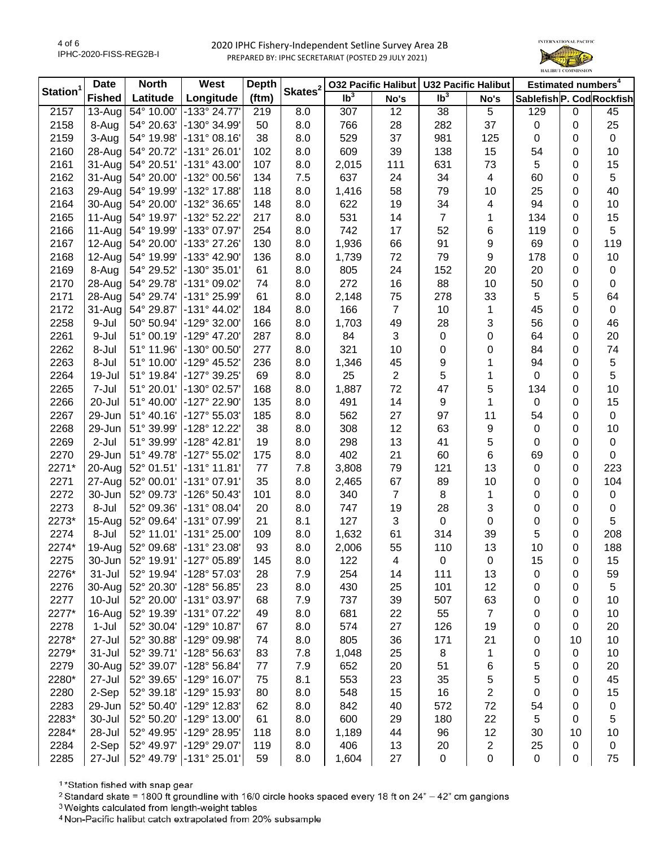

| Station <sup>1</sup> | <b>Date</b>   | <b>North</b> | West                     | <b>Depth</b> | Skates <sup>2</sup> |                            |                | 032 Pacific Halibut   U32 Pacific Halibut |                         | Estimated numbers <sup>4</sup> |    |             |
|----------------------|---------------|--------------|--------------------------|--------------|---------------------|----------------------------|----------------|-------------------------------------------|-------------------------|--------------------------------|----|-------------|
|                      | <b>Fished</b> | Latitude     | Longitude                | (ftm)        |                     | $\overline{\mathsf{lb}^3}$ | No's           | $\mathsf{lb}^3$                           | No's                    | Sablefish P. Cod Rockfish      |    |             |
| 2157                 | $13-Auq$      | 54° 10.00'   | -133° 24.77'             | 219          | 8.0                 | 307                        | 12             | 38                                        | 5                       | 129                            | 0  | 45          |
| 2158                 | 8-Aug         | 54° 20.63'   | -130° 34.99'             | 50           | 8.0                 | 766                        | 28             | 282                                       | 37                      | 0                              | 0  | 25          |
| 2159                 | 3-Aug         | 54° 19.98'   | -131° 08.16'             | 38           | 8.0                 | 529                        | 37             | 981                                       | 125                     | 0                              | 0  | $\mathbf 0$ |
| 2160                 | 28-Aug        | 54° 20.72'   | -131° 26.01'             | 102          | 8.0                 | 609                        | 39             | 138                                       | 15                      | 54                             | 0  | 10          |
| 2161                 | 31-Aug        | 54° 20.51'   | -131° 43.00'             | 107          | 8.0                 | 2,015                      | 111            | 631                                       | 73                      | 5                              | 0  | 15          |
| 2162                 | 31-Aug        | 54° 20.00'   | -132° 00.56'             | 134          | 7.5                 | 637                        | 24             | 34                                        | 4                       | 60                             | 0  | 5           |
| 2163                 | 29-Aug        | 54° 19.99'   | -132° 17.88'             | 118          | 8.0                 | 1,416                      | 58             | 79                                        | 10                      | 25                             | 0  | 40          |
| 2164                 | 30-Aug        | 54° 20.00'   | -132° 36.65'             | 148          | 8.0                 | 622                        | 19             | 34                                        | 4                       | 94                             | 0  | 10          |
| 2165                 | 11-Aug        | 54° 19.97'   | -132° 52.22'             | 217          | 8.0                 | 531                        | 14             | $\overline{7}$                            | 1                       | 134                            | 0  | 15          |
| 2166                 | 11-Aug        | 54° 19.99'   | -133° 07.97'             | 254          | 8.0                 | 742                        | 17             | 52                                        | 6                       | 119                            | 0  | 5           |
| 2167                 | 12-Aug        | 54° 20.00'   | -133° 27.26'             | 130          | 8.0                 | 1,936                      | 66             | 91                                        | 9                       | 69                             | 0  | 119         |
| 2168                 | 12-Aug        | 54° 19.99'   | -133° 42.90'             | 136          | 8.0                 | 1,739                      | 72             | 79                                        | 9                       | 178                            | 0  | 10          |
| 2169                 | 8-Aug         | 54° 29.52'   | $-130^{\circ}35.01'$     | 61           | 8.0                 | 805                        | 24             | 152                                       | 20                      | 20                             | 0  | $\mathbf 0$ |
| 2170                 | 28-Aug        | 54° 29.78'   | -131° 09.02'             | 74           | 8.0                 | 272                        | 16             | 88                                        | 10                      | 50                             | 0  | 0           |
| 2171                 | 28-Aug        | 54° 29.74'   | -131° 25.99'             | 61           | 8.0                 | 2,148                      | 75             | 278                                       | 33                      | 5                              | 5  | 64          |
| 2172                 | 31-Aug        | 54° 29.87'   | $-131^{\circ}$ 44.02     | 184          | 8.0                 | 166                        | $\overline{7}$ | 10                                        | 1                       | 45                             | 0  | 0           |
| 2258                 | 9-Jul         | 50° 50.94'   | $-129^{\circ}$ 32.00     | 166          | 8.0                 | 1,703                      | 49             | 28                                        | 3                       | 56                             | 0  | 46          |
| 2261                 | 9-Jul         | 51° 00.19'   | $-129^{\circ}$ 47.20     | 287          | 8.0                 | 84                         | 3              | $\pmb{0}$                                 | 0                       | 64                             | 0  | 20          |
| 2262                 | 8-Jul         | 51° 11.96'   | -130° 00.50'             | 277          | 8.0                 | 321                        | 10             | 0                                         | 0                       | 84                             | 0  | 74          |
| 2263                 | 8-Jul         | 51° 10.00'   | -129° 45.52'             | 236          | 8.0                 | 1,346                      | 45             | 9                                         | 1                       | 94                             | 0  | 5           |
| 2264                 | 19-Jul        | 51° 19.84'   | -127° 39.25'             | 69           | 8.0                 | 25                         | $\overline{2}$ | 5                                         | 1                       | 0                              | 0  | 5           |
| 2265                 | 7-Jul         | 51° 20.01'   | -130° 02.57'             | 168          | 8.0                 | 1,887                      | 72             | 47                                        | 5                       | 134                            | 0  | 10          |
| 2266                 | 20-Jul        | 51° 40.00'   | -127° 22.90'             | 135          | 8.0                 | 491                        | 14             | 9                                         | 1                       | 0                              | 0  | 15          |
| 2267                 | 29-Jun        | 51° 40.16'   | $-127°55.03'$            | 185          | 8.0                 | 562                        | 27             | 97                                        | 11                      | 54                             | 0  | $\mathbf 0$ |
| 2268                 | 29-Jun        | 51° 39.99'   | -128° 12.22'             | 38           | 8.0                 | 308                        | 12             | 63                                        | 9                       | 0                              | 0  | 10          |
| 2269                 | $2-Jul$       | 51° 39.99'   | $-128°$ 42.81            | 19           | 8.0                 | 298                        | 13             | 41                                        | 5                       | 0                              | 0  | 0           |
| 2270                 | 29-Jun        | 51° 49.78'   | -127° 55.02'             | 175          | 8.0                 | 402                        | 21             | 60                                        | 6                       | 69                             | 0  | $\mathbf 0$ |
| 2271*                | 20-Aug        | 52° 01.51'   | -131° 11.81'             | 77           | 7.8                 | 3,808                      | 79             | 121                                       | 13                      | 0                              | 0  | 223         |
| 2271                 | 27-Aug        | 52° 00.01'   | -131° 07.91'             | 35           | 8.0                 | 2,465                      | 67             | 89                                        | 10                      | 0                              | 0  | 104         |
| 2272                 | 30-Jun        | 52° 09.73'   | $-126°50.43'$            | 101          | 8.0                 | 340                        | $\overline{7}$ | 8                                         | $\mathbf{1}$            | 0                              | 0  | 0           |
| 2273                 | 8-Jul         | 52° 09.36'   | $-131°08.04'$            | 20           | 8.0                 | 747                        | 19             | 28                                        | 3                       | 0                              | 0  | $\mathbf 0$ |
| 2273*                | 15-Aug        | 52° 09.64'   | -131° 07.99'             | 21           | 8.1                 | 127                        | 3              | $\mathbf 0$                               | $\pmb{0}$               | 0                              | 0  | 5           |
| 2274                 | 8-Jul         | 52° 11.01'   | -131° 25.00'             | 109          | 8.0                 | 1,632                      | 61             | 314                                       | 39                      | 5                              | 0  | 208         |
| 2274*                | 19-Aug        |              | 52° 09.68' -131° 23.08'  | 93           | 8.0                 | 2,006                      | 55             | 110                                       | 13                      | 10                             | 0  | 188         |
| 2275                 | 30-Jun        |              | 52° 19.91' - 127° 05.89' | 145          | 8.0                 | 122                        | 4              | 0                                         | 0                       | 15                             | 0  | 15          |
| 2276*                | $31 -$ Jul    | 52° 19.94'   | $-128°57.03'$            | 28           | 7.9                 | 254                        | 14             | 111                                       | 13                      | 0                              | 0  | 59          |
| 2276                 | 30-Aug        | 52° 20.30'   | -128° 56.85'             | 23           | 8.0                 | 430                        | 25             | 101                                       | 12                      | 0                              | 0  | 5           |
| 2277                 | $10 -$ Jul    | 52° 20.00'   | -131° 03.97'             | 68           | 7.9                 | 737                        | 39             | 507                                       | 63                      | 0                              | 0  | 10          |
| 2277*                | 16-Aug        | 52° 19.39'   | -131° 07.22'             | 49           | 8.0                 | 681                        | 22             | 55                                        | $\overline{7}$          | 0                              | 0  | 10          |
| 2278                 | $1-Jul$       | 52° 30.04'   | $-129°$ 10.87            | 67           | 8.0                 | 574                        | 27             | 126                                       | 19                      | 0                              | 0  | 20          |
| 2278*                | 27-Jul        | 52° 30.88'   | $-129^{\circ}$ 09.98'    | 74           | 8.0                 | 805                        | 36             | 171                                       | 21                      | 0                              | 10 | 10          |
| 2279*                | $31 -$ Jul    | 52° 39.71'   | -128° 56.63'             | 83           | 7.8                 | 1,048                      | 25             | 8                                         | 1                       | 0                              | 0  | 10          |
| 2279                 | 30-Aug        | 52° 39.07'   | $-128°56.84'$            | 77           | 7.9                 | 652                        | 20             | 51                                        | 6                       | 5                              | 0  | 20          |
| 2280*                | 27-Jul        | 52° 39.65'   | -129° 16.07'             | 75           | 8.1                 | 553                        | 23             | 35                                        | 5                       | 5                              | 0  | 45          |
| 2280                 | 2-Sep         | 52° 39.18'   | -129° 15.93'             | 80           | 8.0                 | 548                        | 15             | 16                                        | $\overline{c}$          | 0                              | 0  | 15          |
| 2283                 | 29-Jun        | 52° 50.40'   | -129° 12.83'             | 62           | 8.0                 | 842                        | 40             | 572                                       | 72                      | 54                             | 0  | 0           |
| 2283*                | 30-Jul        | 52° 50.20'   | $-129°$ 13.00            | 61           | 8.0                 | 600                        | 29             | 180                                       | 22                      | 5                              | 0  | 5           |
| 2284*                | 28-Jul        | 52° 49.95'   | -129° 28.95'             | 118          | 8.0                 | 1,189                      | 44             | 96                                        | 12                      | 30                             | 10 | 10          |
| 2284                 | 2-Sep         | 52° 49.97'   | -129° 29.07'             | 119          | 8.0                 | 406                        | 13             | 20                                        | $\overline{\mathbf{c}}$ | 25                             | 0  | 0           |
| 2285                 | 27-Jul        |              | 52° 49.79' -131° 25.01'  | 59           | 8.0                 | 1,604                      | 27             | $\pmb{0}$                                 | $\pmb{0}$               | 0                              | 0  | 75          |
|                      |               |              |                          |              |                     |                            |                |                                           |                         |                                |    |             |

<sup>1</sup>\*Station fished with snap gear

<sup>2</sup> Standard skate = 1800 ft groundline with 16/0 circle hooks spaced every 18 ft on 24" - 42" cm gangions

<sup>3</sup> Weights calculated from length-weight tables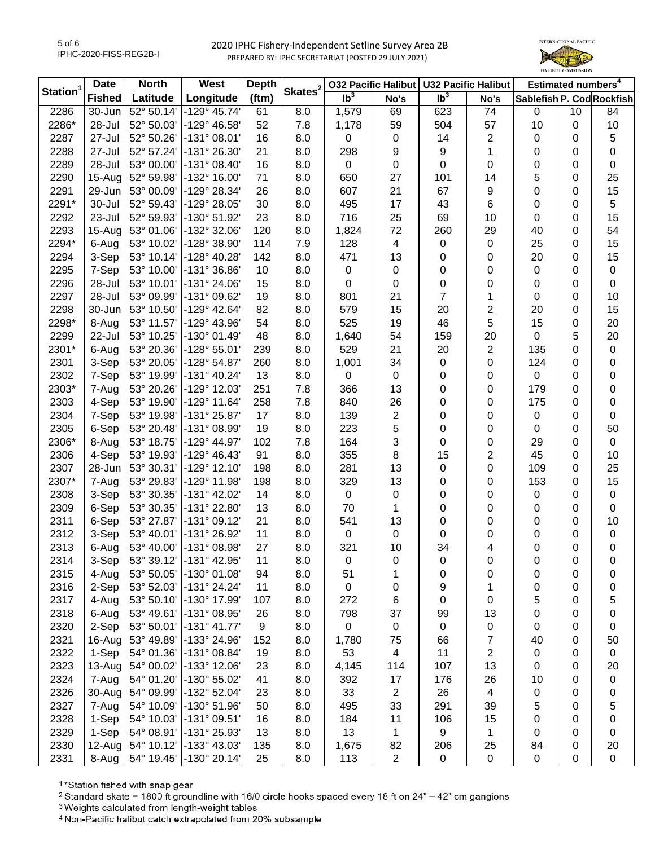

| Station <sup>1</sup> | <b>Date</b>   | <b>North</b> | West                         | <b>Depth</b> | Skates <sup>2</sup> |                 | 032 Pacific Halibut | <b>U32 Pacific Halibut</b> |                         | Estimated numbers <sup>4</sup> |    |           |
|----------------------|---------------|--------------|------------------------------|--------------|---------------------|-----------------|---------------------|----------------------------|-------------------------|--------------------------------|----|-----------|
|                      | <b>Fished</b> | Latitude     | Longitude                    | (ftm)        |                     | Ib <sup>3</sup> | No's                | Ib <sup>3</sup>            | No's                    | Sablefish P. Cod Rockfish      |    |           |
| 2286                 | 30-Jun        | 52° 50.14'   | $-129^{\circ}$ 45.74'        | 61           | 8.0                 | 1,579           | 69                  | 623                        | 74                      | 0                              | 10 | 84        |
| 2286*                | 28-Jul        | 52° 50.03'   | -129° 46.58'                 | 52           | 7.8                 | 1,178           | 59                  | 504                        | 57                      | 10                             | 0  | 10        |
| 2287                 | 27-Jul        | 52° 50.26'   | $-131°08.01'$                | 16           | 8.0                 | 0               | 0                   | 14                         | $\mathbf{2}$            | 0                              | 0  | 5         |
| 2288                 | 27-Jul        | 52° 57.24'   | -131° 26.30'                 | 21           | 8.0                 | 298             | 9                   | 9                          | 1                       | 0                              | 0  | 0         |
| 2289                 | 28-Jul        | 53° 00.00'   | $-131^{\circ}$ 08.40         | 16           | 8.0                 | $\mathbf 0$     | $\mathbf 0$         | $\mathbf 0$                | 0                       | 0                              | 0  | 0         |
| 2290                 | 15-Aug        | 52° 59.98'   | -132° 16.00'                 | 71           | 8.0                 | 650             | 27                  | 101                        | 14                      | 5                              | 0  | 25        |
| 2291                 | 29-Jun        | 53° 00.09'   | -129° 28.34'                 | 26           | 8.0                 | 607             | 21                  | 67                         | 9                       | 0                              | 0  | 15        |
| 2291*                | 30-Jul        | 52° 59.43'   | -129° 28.05'                 | 30           | 8.0                 | 495             | 17                  | 43                         | 6                       | 0                              | 0  | 5         |
| 2292                 | 23-Jul        | 52° 59.93'   | -130° 51.92'                 | 23           | 8.0                 | 716             | 25                  | 69                         | 10                      | 0                              | 0  | 15        |
| 2293                 | $15-Au$ g     | 53° 01.06'   | -132° 32.06'                 | 120          | 8.0                 | 1,824           | 72                  | 260                        | 29                      | 40                             | 0  | 54        |
| 2294*                | 6-Aug         | 53° 10.02'   | -128° 38.90'                 | 114          | 7.9                 | 128             | 4                   | $\mathbf 0$                | 0                       | 25                             | 0  | 15        |
| 2294                 | 3-Sep         | 53° 10.14'   | -128° 40.28'                 | 142          | 8.0                 | 471             | 13                  | 0                          | 0                       | 20                             | 0  | 15        |
| 2295                 | 7-Sep         | 53° 10.00'   | $-131^{\circ}36.86'$         | 10           | 8.0                 | 0               | $\pmb{0}$           | 0                          | 0                       | 0                              | 0  | $\pmb{0}$ |
| 2296                 | 28-Jul        | 53° 10.01'   | $-131^{\circ} 24.06^{\circ}$ | 15           | 8.0                 | 0               | 0                   | $\pmb{0}$                  | 0                       | 0                              | 0  | $\pmb{0}$ |
| 2297                 | 28-Jul        | 53° 09.99'   | -131° 09.62'                 | 19           | 8.0                 | 801             | 21                  | $\overline{7}$             | 1                       | 0                              | 0  | 10        |
| 2298                 | 30-Jun        | 53° 10.50'   | $-129°$ 42.64                | 82           | 8.0                 | 579             | 15                  | 20                         | $\overline{c}$          | 20                             | 0  | 15        |
| 2298*                | 8-Aug         | 53° 11.57'   | $-129^{\circ}$ 43.96'        | 54           | 8.0                 | 525             | 19                  | 46                         | 5                       | 15                             | 0  | 20        |
| 2299                 | 22-Jul        | 53° 10.25'   | $-130^{\circ}$ 01.49         | 48           | 8.0                 | 1,640           | 54                  | 159                        | 20                      | 0                              | 5  | 20        |
| 2301*                | 6-Aug         | 53° 20.36'   | $-128°55.01'$                | 239          | 8.0                 | 529             | 21                  | 20                         | $\mathbf{2}$            | 135                            | 0  | $\pmb{0}$ |
| 2301                 | 3-Sep         | 53° 20.05'   | $-128°54.87'$                | 260          | 8.0                 | 1,001           | 34                  | $\pmb{0}$                  | 0                       | 124                            | 0  | 0         |
| 2302                 | 7-Sep         | 53° 19.99'   | $-131^{\circ}$ 40.24         | 13           | 8.0                 | $\mathbf 0$     | $\mathbf 0$         | 0                          | 0                       | 0                              | 0  | 0         |
| 2303*                | 7-Aug         | 53° 20.26'   | $-129°$ 12.03'               | 251          | 7.8                 | 366             | 13                  | 0                          | 0                       | 179                            | 0  | 0         |
| 2303                 | 4-Sep         | 53° 19.90'   | $-129°$ 11.64                | 258          | 7.8                 | 840             | 26                  | 0                          | 0                       | 175                            | 0  | 0         |
| 2304                 | 7-Sep         | 53° 19.98'   | -131° 25.87'                 | 17           | 8.0                 | 139             | 2                   | 0                          | 0                       | 0                              | 0  | 0         |
| 2305                 | 6-Sep         | 53° 20.48'   | -131° 08.99'                 | 19           | 8.0                 | 223             | 5                   | 0                          | 0                       | 0                              | 0  | 50        |
| 2306*                | 8-Aug         | 53° 18.75'   | $-129^{\circ}$ 44.97         | 102          | 7.8                 | 164             | 3                   | 0                          | 0                       | 29                             | 0  | 0         |
| 2306                 | 4-Sep         | 53° 19.93'   | $-129°$ 46.43                | 91           | 8.0                 | 355             | 8                   | 15                         | 2                       | 45                             | 0  | 10        |
| 2307                 | 28-Jun        | 53° 30.31'   | $-129°$ 12.10                | 198          | 8.0                 | 281             | 13                  | $\pmb{0}$                  | 0                       | 109                            | 0  | 25        |
| 2307*                | 7-Aug         | 53° 29.83'   | -129° 11.98'                 | 198          | 8.0                 | 329             | 13                  | 0                          | 0                       | 153                            | 0  | 15        |
| 2308                 | 3-Sep         | 53° 30.35'   | -131° 42.02'                 | 14           | 8.0                 | 0               | 0                   | 0                          | 0                       | 0                              | 0  | 0         |
| 2309                 | 6-Sep         | 53° 30.35'   | -131° 22.80'                 | 13           | 8.0                 | 70              | 1                   | 0                          | 0                       | 0                              | 0  | 0         |
| 2311                 | 6-Sep         | 53° 27.87'   | $-131°09.12'$                | 21           | 8.0                 | 541             | 13                  | 0                          | 0                       | 0                              | 0  | 10        |
| 2312                 | 3-Sep         | 53° 40.01'   | -131° 26.92'                 | 11           | 8.0                 | $\mathbf 0$     | $\pmb{0}$           | 0                          | 0                       | 0                              | 0  | 0         |
| 2313                 | 6-Aug         |              | 53° 40.00' -131° 08.98'      | 27           | 8.0                 | 321             | 10                  | 34                         | 4                       | 0                              | 0  | $\pmb{0}$ |
| 2314                 | 3-Sep         |              | 53° 39.12' -131° 42.95'      | 11           | 8.0                 | 0               | 0                   | 0                          | 0                       | 0                              | 0  | 0         |
| 2315                 | 4-Aug         | 53° 50.05'   | $-130^{\circ}$ 01.08         | 94           | 8.0                 | 51              | 1                   | 0                          | 0                       | 0                              | 0  | 0         |
| 2316                 | 2-Sep         | 53° 52.03'   | $-131^{\circ} 24.24'$        | 11           | 8.0                 | $\pmb{0}$       | 0                   | 9                          | 1                       | 0                              | 0  | 0         |
| 2317                 | 4-Aug         | 53° 50.10'   | -130° 17.99'                 | 107          | 8.0                 | 272             | 6                   | 0                          | 0                       | 5                              | 0  | 5         |
| 2318                 | 6-Aug         | 53° 49.61'   | $-131°08.95'$                | 26           | 8.0                 | 798             | 37                  | 99                         | 13                      | 0                              | 0  | 0         |
| 2320                 | 2-Sep         | 53° 50.01'   | $-131°$ 41.77'               | 9            | 8.0                 | $\mathbf 0$     | 0                   | 0                          | 0                       | 0                              | 0  | 0         |
| 2321                 | 16-Aug        | 53° 49.89'   | -133° 24.96'                 | 152          | 8.0                 | 1,780           | 75                  | 66                         | 7                       | 40                             | 0  | 50        |
| 2322                 | 1-Sep         | 54° 01.36'   | $-131°08.84'$                | 19           | 8.0                 | 53              | 4                   | 11                         | 2                       | 0                              | 0  | 0         |
| 2323                 | 13-Aug        | 54° 00.02'   | -133° 12.06'                 | 23           | 8.0                 | 4,145           | 114                 | 107                        | 13                      | 0                              | 0  | 20        |
| 2324                 | 7-Aug         | 54° 01.20'   | -130° 55.02'                 | 41           | 8.0                 | 392             | 17                  | 176                        | 26                      | 10                             | 0  | $\pmb{0}$ |
| 2326                 | 30-Aug        | 54° 09.99'   | -132° 52.04'                 | 23           | 8.0                 | 33              | $\sqrt{2}$          | 26                         | $\overline{\mathbf{4}}$ | 0                              | 0  | 0         |
| 2327                 | 7-Aug         | 54° 10.09'   | $-130^{\circ} 51.96'$        | 50           | 8.0                 | 495             | 33                  | 291                        | 39                      | 5                              | 0  | 5         |
| 2328                 | 1-Sep         |              | 54° 10.03' -131° 09.51'      | 16           | 8.0                 | 184             | 11                  | 106                        | 15                      | 0                              | 0  | 0         |
| 2329                 | 1-Sep         |              | 54° 08.91' -131° 25.93'      | 13           | 8.0                 | 13              | 1                   | 9                          | $\mathbf{1}$            | 0                              | 0  | 0         |
| 2330                 | $12$ -Aug     | 54° 10.12'   | -133° 43.03'                 | 135          | 8.0                 | 1,675           | 82                  | 206                        | 25                      | 84                             | 0  | 20        |
| 2331                 | 8-Aug         |              | 54° 19.45' -130° 20.14'      | 25           | 8.0                 | 113             | $\sqrt{2}$          | $\pmb{0}$                  | $\boldsymbol{0}$        | 0                              | 0  | $\pmb{0}$ |

<sup>1</sup>\*Station fished with snap gear

<sup>2</sup> Standard skate = 1800 ft groundline with 16/0 circle hooks spaced every 18 ft on 24" - 42" cm gangions

<sup>3</sup> Weights calculated from length-weight tables